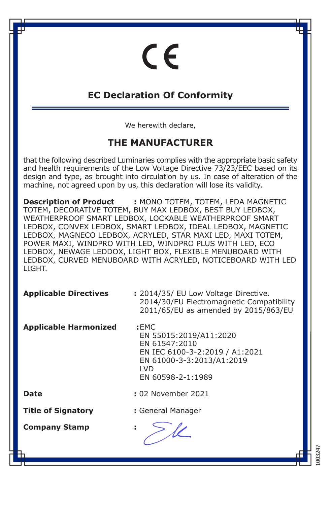# $\epsilon$

### **EC Declaration Of Conformity**

We herewith declare,

#### **THE MANUFACTURER**

that the following described Luminaries complies with the appropriate basic safety and health requirements of the Low Voltage Directive 73/23/EEC based on its design and type, as brought into circulation by us. In case of alteration of the machine, not agreed upon by us, this declaration will lose its validity.

**Description of Product :** MONO TOTEM, TOTEM, LEDA MAGNETIC TOTEM, DECORATİVE TOTEM, BUY MAX LEDBOX, BEST BUY LEDBOX, WEATHERPROOF SMART LEDBOX, LOCKABLE WEATHERPROOF SMART LEDBOX, CONVEX LEDBOX, SMART LEDBOX, IDEAL LEDBOX, MAGNETIC LEDBOX, MAGNECO LEDBOX, ACRYLED, STAR MAXI LED, MAXI TOTEM, POWER MAXI, WINDPRO WITH LED, WINDPRO PLUS WITH LED, ECO LEDBOX, NEWAGE LEDDOX, LIGHT BOX, FLEXIBLE MENUBOARD WITH LEDBOX, CURVED MENUBOARD WITH ACRYLED, NOTICEBOARD WITH LED LIGHT.

| <b>Applicable Directives</b> | : 2014/35/ EU Low Voltage Directive.<br>2014/30/EU Electromagnetic Compatibility<br>2011/65/EU as amended by 2015/863/EU                          |
|------------------------------|---------------------------------------------------------------------------------------------------------------------------------------------------|
| <b>Applicable Harmonized</b> | :EMC<br>EN 55015:2019/A11:2020<br>EN 61547:2010<br>EN IEC 6100-3-2:2019 / A1:2021<br>EN 61000-3-3:2013/A1:2019<br><b>LVD</b><br>EN 60598-2-1:1989 |
| Date                         | : 02 November 2021                                                                                                                                |
| <b>Title of Signatory</b>    | : General Manager                                                                                                                                 |
| <b>Company Stamp</b>         |                                                                                                                                                   |

1003247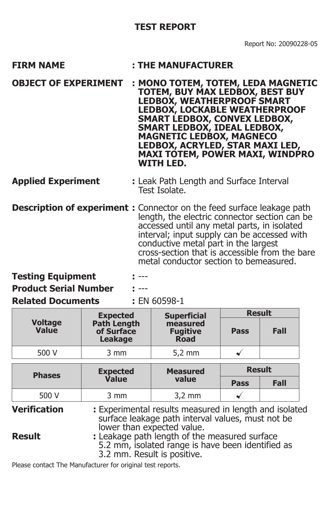- FIRM NAME : THE MANUFACTURER
- **OBJECT OF EXPERIMENT : MONO TOTEM, TOTEM, LEDA MAGNETIC TOTEM, BUY MAX LEDBOX, BEST BUY LEDBOX, WEATHERPROOF SMART LEDBOX, LOCKABLE WEATHERPROOF SMART LEDBOX, CONVEX LEDBOX, SMART LEDBOX, IDEAL LEDBOX, MAGNETIC LEDBOX, MAGNECO LEDBOX, ACRYLED, STAR MAXI LED, MAXI TOTEM, POWER MAXI, WINDPRO WITH LED.**

#### **Applied Experiment Applied Experiment :** Leak Path Length and Surface Interval Test Isolate.

**Description of experiment :** Connector on the feed surface leakage path length, the electric connector section can be accessed until any metal parts, in isolated interval; input supply can be accessed with conductive metal part in the largest cross-section that is accessible from the bare metal conductor section to bemeasured.

**Testing Equipment : ---**

**Product Serial Number :** ---

#### **Related Documents :** EN 60598-1

|                         | <b>Expected</b>                      | <b>Superficial</b>                         | <b>Result</b> |      |
|-------------------------|--------------------------------------|--------------------------------------------|---------------|------|
| <b>Voltage</b><br>Value | Path Length<br>of Surface<br>Leakage | measured<br><b>Fugitive</b><br><b>Road</b> | Pass          | Fall |
| 500 V                   | 3 mm                                 | $5.2 \text{ mm}$                           |               |      |

| <b>Phases</b> | <b>Expected</b> | <b>Measured</b>  | <b>Result</b> |      |
|---------------|-----------------|------------------|---------------|------|
|               | <b>Value</b>    | value            | Pass          | Fall |
| 500 V         | 3 mm            | $3.2 \text{ mm}$ |               |      |

**Verification : Experimental results measured in length and isolated**  surface leakage path interval values, must not be lower than expected value.

#### **Result** : Leakage path length of the measured surface 5.2 mm, isolated range is have been identified as 3.2 mm. Result is positive.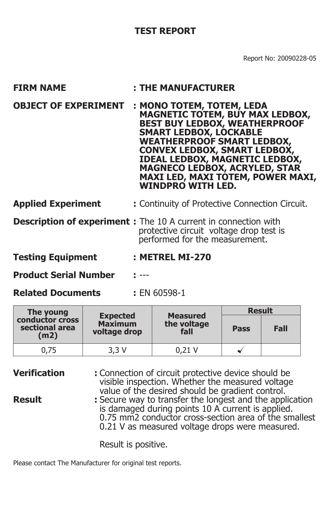Report No: 20090228-05

| <b>FIRM NAME</b>            | : THE MANUFACTURER                                                                                                                                                                                                                                                                                                                                                                |
|-----------------------------|-----------------------------------------------------------------------------------------------------------------------------------------------------------------------------------------------------------------------------------------------------------------------------------------------------------------------------------------------------------------------------------|
| <b>OBJECT OF EXPERIMENT</b> | : MONO TOTEM, TOTEM, LEDA<br><b>MAGNETIC TOTEM, BUY MAX LEDBOX,</b><br><b>BEST BUY LEDBOX, WEATHERPROOF</b><br><b>SMART LEDBOX, LOCKABLE</b><br><b>WEATHERPROOF SMART LEDBOX,</b><br><b>CONVEX LEDBOX, SMART LEDBOX,</b><br><b>IDEAL LEDBOX, MAGNETIC LEDBOX,</b><br><b>MAGNECO LEDBOX, ACRYLED, STAR</b><br><b>MAXI LED, MAXI TOTEM, POWER MAXI,</b><br><b>WINDPRO WITH LED.</b> |
| <b>Applied Experiment</b>   | : Continuity of Protective Connection Circuit.                                                                                                                                                                                                                                                                                                                                    |
|                             | <b>Description of experiment:</b> The 10 A current in connection with<br>protective circuit voltage drop test is<br>performed for the measurement.                                                                                                                                                                                                                                |
| <b>Testing Equipment</b>    | : METREL MI-270                                                                                                                                                                                                                                                                                                                                                                   |

**Product Serial Number :** ---

**Related Documents :** EN 60598-1

| The young                                 |                                                   |                                        | <b>Result</b> |      |
|-------------------------------------------|---------------------------------------------------|----------------------------------------|---------------|------|
| conductor cross<br>sectional area<br>(m2) | <b>Expected</b><br><b>Maximum</b><br>voltage drop | <b>Measured</b><br>the voltage<br>fall | Pass          | Fall |
| 0.75                                      | 3.3 V                                             | 0.21 V                                 |               |      |

**Verification :** Connection of circuit protective device should be visible inspection. Whether the measured voltage value of the desired should be gradient control.<br>Result secure way to transfer the longest and the apply **Result :** Secure way to transfer the longest and the application

 is damaged during points 10 A current is applied. 0.75 mm2 conductor cross-section area of the smallest 0.21 V as measured voltage drops were measured.

Result is positive.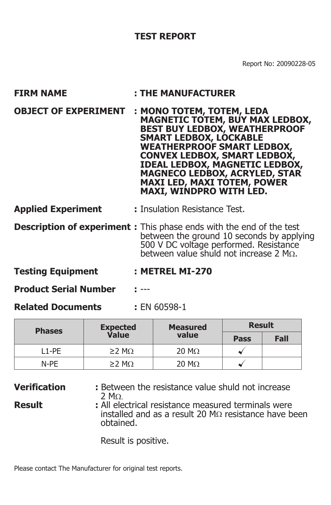Report No: 20090228-05

| <b>FIRM NAME</b>                                                           | : THE MANUFACTURER                                                                                                                                                                                                                                                                                                                                                                |  |
|----------------------------------------------------------------------------|-----------------------------------------------------------------------------------------------------------------------------------------------------------------------------------------------------------------------------------------------------------------------------------------------------------------------------------------------------------------------------------|--|
| <b>OBJECT OF EXPERIMENT</b>                                                | : MONO TOTEM, TOTEM, LEDA<br><b>MAGNETIC TOTEM, BUY MAX LEDBOX,</b><br><b>BEST BUY LEDBOX, WEATHERPROOF</b><br><b>SMART LEDBOX, LOCKABLE</b><br><b>WEATHERPROOF SMART LEDBOX,</b><br><b>CONVEX LEDBOX, SMART LEDBOX,</b><br><b>IDEAL LEDBOX, MAGNETIC LEDBOX,</b><br><b>MAGNECO LEDBOX, ACRYLED, STAR</b><br><b>MAXI LED, MAXI TOTEM, POWER</b><br><b>MAXI, WINDPRO WITH LED.</b> |  |
| <b>Applied Experiment</b>                                                  | : Insulation Resistance Test.                                                                                                                                                                                                                                                                                                                                                     |  |
| <b>Description of experiment:</b> This phase ends with the end of the test | between the ground 10 seconds by applying<br>500 V DC voltage performed. Resistance<br>between value shuld not increase 2 $M\Omega$ .                                                                                                                                                                                                                                             |  |
| <b>Testing Equipment</b>                                                   | : METREL MI-270                                                                                                                                                                                                                                                                                                                                                                   |  |

**Product Serial Number :** ---

**Related Documents :** EN 60598-1

| <b>Phases</b> | <b>Expected</b>   | <b>Measured</b>      | <b>Result</b> |      |
|---------------|-------------------|----------------------|---------------|------|
|               | Value             | value                | Pass          | Fall |
| l 1-PF        | $>2$ MO           | $20 \text{ M}\Omega$ |               |      |
| N-PF          | $\geq$ M $\Omega$ | $20 \text{ M}\Omega$ |               |      |

**Verification :** Between the resistance value shuld not increase 2 MΩ.

**Result** : All electrical resistance measured terminals were installed and as a result 20 MΩ resistance have been obtained.

Result is positive.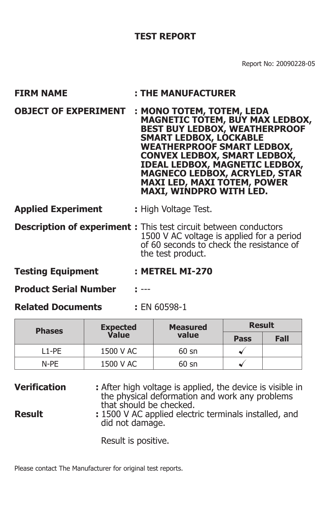Report No: 20090228-05

| <b>FIRM NAME</b>            | : THE MANUFACTURER                                                                                                                                                                                                                                                                                                                                                                |
|-----------------------------|-----------------------------------------------------------------------------------------------------------------------------------------------------------------------------------------------------------------------------------------------------------------------------------------------------------------------------------------------------------------------------------|
| <b>OBJECT OF EXPERIMENT</b> | : MONO TOTEM, TOTEM, LEDA<br><b>MAGNETIC TOTEM, BUY MAX LEDBOX,</b><br><b>BEST BUY LEDBOX, WEATHERPROOF</b><br><b>SMART LEDBOX, LOCKABLE</b><br><b>WEATHERPROOF SMART LEDBOX,</b><br><b>CONVEX LEDBOX, SMART LEDBOX,</b><br><b>IDEAL LEDBOX, MAGNETIC LEDBOX,</b><br><b>MAGNECO LEDBOX, ACRYLED, STAR</b><br><b>MAXI LED, MAXI TOTEM, POWER</b><br><b>MAXI, WINDPRO WITH LED.</b> |
| <b>Applied Experiment</b>   | : High Voltage Test.                                                                                                                                                                                                                                                                                                                                                              |
|                             | <b>Description of experiment:</b> This test circuit between conductors<br>1500 V AC voltage is applied for a period<br>of 60 seconds to check the resistance of<br>the test product.                                                                                                                                                                                              |
| Taalina Faulanaali          |                                                                                                                                                                                                                                                                                                                                                                                   |

- **Testing Equipment : METREL MI-270**
- **Product Serial Number :** ---
- **Related Documents :** EN 60598-1

| <b>Phases</b> | <b>Expected</b><br><b>Measured</b> | <b>Result</b>   |      |      |
|---------------|------------------------------------|-----------------|------|------|
|               | Value                              | value           | Pass | Fall |
| L1-PE         | 1500 V AC                          | $60 \text{ sn}$ |      |      |
| N-PE          | 1500 V AC                          | 60 sn           |      |      |

**Verification :** After high voltage is applied, the device is visible in the physical deformation and work any problems that should be checked. **Result** : 1500 V AC applied electric terminals installed, and

did not damage.

Result is positive.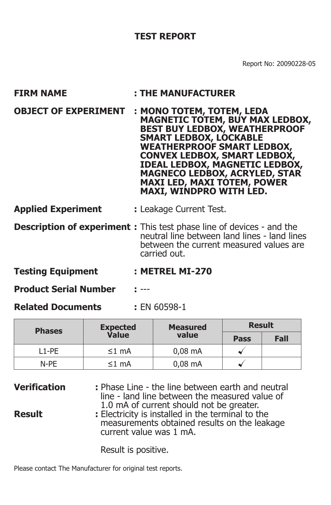Report No: 20090228-05

| <b>FIRM NAME</b>            | : THE MANUFACTURER                                                                                                                                                                                                                                                                                                                                                                |
|-----------------------------|-----------------------------------------------------------------------------------------------------------------------------------------------------------------------------------------------------------------------------------------------------------------------------------------------------------------------------------------------------------------------------------|
| <b>OBJECT OF EXPERIMENT</b> | : MONO TOTEM, TOTEM, LEDA<br><b>MAGNETIC TOTEM, BUY MAX LEDBOX,</b><br><b>BEST BUY LEDBOX, WEATHERPROOF</b><br><b>SMART LEDBOX, LOCKABLE</b><br><b>WEATHERPROOF SMART LEDBOX,</b><br><b>CONVEX LEDBOX, SMART LEDBOX,</b><br><b>IDEAL LEDBOX, MAGNETIC LEDBOX,</b><br><b>MAGNECO LEDBOX, ACRYLED, STAR</b><br><b>MAXI LED, MAXI TOTEM, POWER</b><br><b>MAXI, WINDPRO WITH LED.</b> |
| <b>Applied Experiment</b>   | : Leakage Current Test.                                                                                                                                                                                                                                                                                                                                                           |
|                             | <b>Description of experiment:</b> This test phase line of devices - and the<br>neutral line between land lines - land lines<br>between the current measured values are<br>carried out.                                                                                                                                                                                            |
| .                           | --------                                                                                                                                                                                                                                                                                                                                                                          |

- **Testing Equipment : METREL MI-270**
- **Product Serial Number :** ---
- **Related Documents :** EN 60598-1

| <b>Phases</b> | <b>Expected</b> | <b>Measured</b> | <b>Result</b> |      |
|---------------|-----------------|-----------------|---------------|------|
|               | Value           | value           | Pass          | Fall |
| 11-PF         | $\leq 1$ mA     | $0.08$ mA       |               |      |
| N-PF          | ≤1 mA           | $0.08$ mA       |               |      |

| <b>Verification</b> | : Phase Line - the line between earth and neutral<br>line - land line between the measured value of<br>1.0 mA of current should not be greater. |
|---------------------|-------------------------------------------------------------------------------------------------------------------------------------------------|
| <b>Result</b>       | : Electricity is installed in the terminal to the<br>measurements obtained results on the leakage<br>current value was 1 mA.                    |

Result is positive.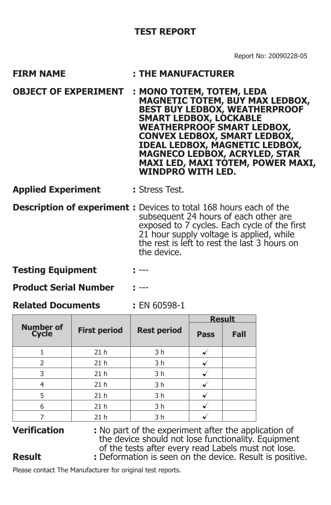- **FIRM NAME : THE MANUFACTURER**
- **OBJECT OF EXPERIMENT : MONO TOTEM, TOTEM, LEDA MAGNETIC TOTEM, BUY MAX LEDBOX, BEST BUY LEDBOX, WEATHERPROOF SMART LEDBOX, LOCKABLE WEATHERPROOF SMART LEDBOX, CONVEX LEDBOX, SMART LEDBOX, IDEAL LEDBOX, MAGNETIC LEDBOX, MAGNECO LEDBOX, ACRYLED, STAR MAXI LED, MAXI TOTEM, POWER MAXI, WINDPRO WITH LED.**
- **Applied Experiment :** Stress Test.
- **Description of experiment :** Devices to total 168 hours each of the subsequent 24 hours of each other are exposed to 7 cycles. Each cycle of the first 21 hour supply voltage is applied, while the rest is left to rest the last 3 hours on the device.

**Testing Equipment : ---**

**Product Serial Number :** ---

**Related Documents :** EN 60598-1

|                           |                     |                    | <b>Result</b> |      |
|---------------------------|---------------------|--------------------|---------------|------|
| <b>Number of</b><br>Cycle | <b>First period</b> | <b>Rest period</b> | Pass          | Fall |
|                           | 21 <sub>h</sub>     | 3 h                |               |      |
| $\overline{2}$            | 21 <sub>h</sub>     | 3 h                |               |      |
| 3                         | 21 <sub>h</sub>     | 3 h                |               |      |
|                           | 21 <sub>h</sub>     | 3 h                |               |      |
| 5                         | 21 <sub>h</sub>     | 3 h                |               |      |
| 6                         | 21 <sub>h</sub>     | 3 h                |               |      |
|                           | 21 <sub>h</sub>     | 3 <sub>h</sub>     |               |      |

**Verification :** No part of the experiment after the application of the device should not lose functionality. Equipment of the tests after every read Labels must not lose. **Result** : Deformation is seen on the device. Result is positive.